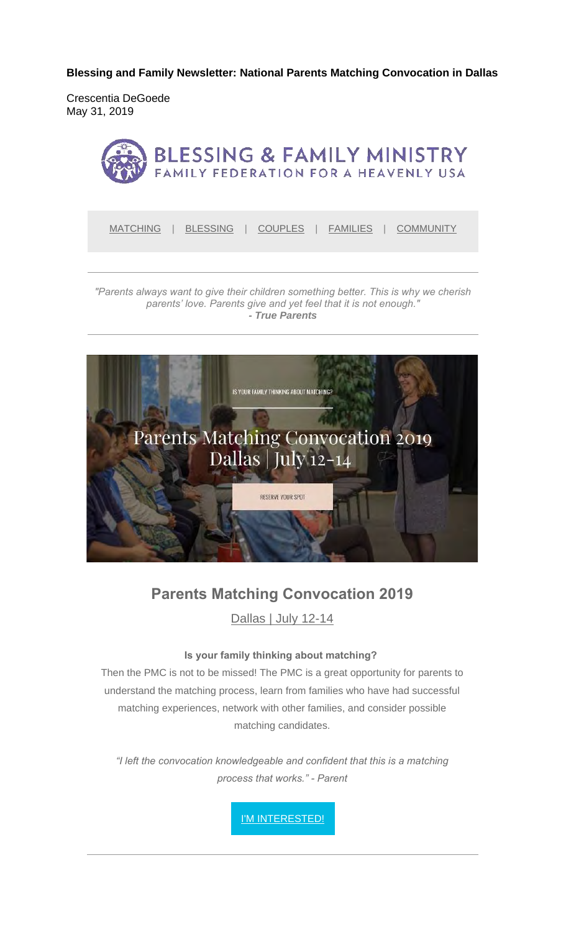**Blessing and Family Newsletter: National Parents Matching Convocation in Dallas** 

Crescentia DeGoede May 31, 2019



MATCHING | BLESSING | COUPLES | FAMILIES | COMMUNITY

*"Parents always want to give their children something better. This is why we cherish parents' love. Parents give and yet feel that it is not enough." - True Parents*



#### **Parents Matching Convocation 2019**

Dallas | July 12-14

#### **Is your family thinking about matching?**

Then the PMC is not to be missed! The PMC is a great opportunity for parents to understand the matching process, learn from families who have had successful matching experiences, network with other families, and consider possible matching candidates.

*"I left the convocation knowledgeable and confident that this is a matching process that works." - Parent*

I'M INTERESTED!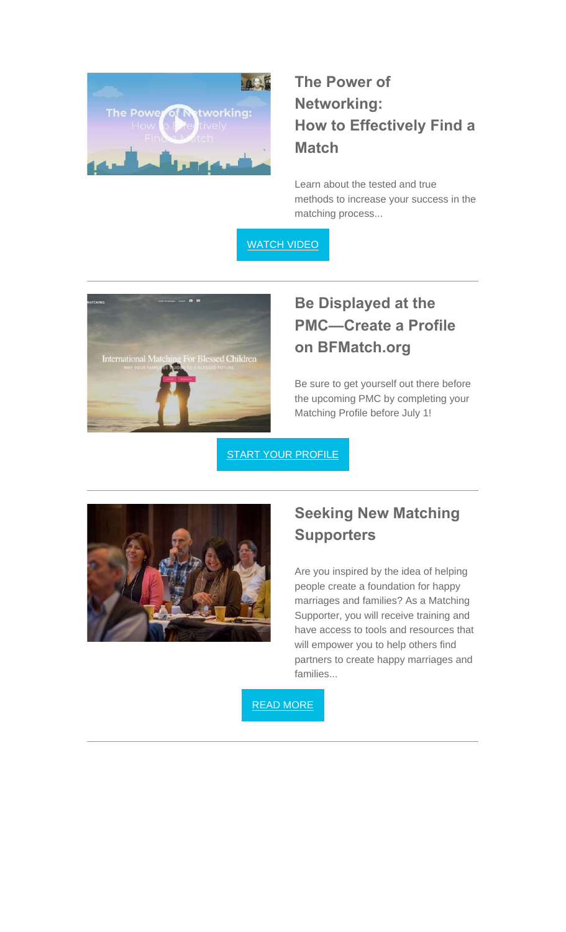

# **The Power of Networking: How to Effectively Find a Match**

Learn about the tested and true methods to increase your success in the matching process...

WATCH VIDEO



## **Be Displayed at the PMC—Create a Profile on BFMatch.org**

Be sure to get yourself out there before the upcoming PMC by completing your Matching Profile before July 1!

**START YOUR PROFILE** 



#### **Seeking New Matching Supporters**

Are you inspired by the idea of helping people create a foundation for happy marriages and families? As a Matching Supporter, you will receive training and have access to tools and resources that will empower you to help others find partners to create happy marriages and families...